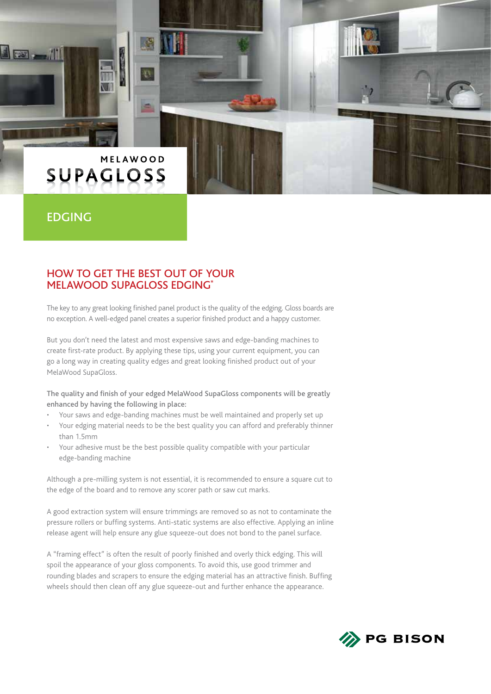# MELAWOOD **SUPAGLOSS**

# EDGING

 $\mathbb{R}$   $\mathbb{R}$ 

#### HOW TO GET THE BEST OUT OF YOUR MELAWOOD SUPAGLOSS EDGING\*

۰

The key to any great looking finished panel product is the quality of the edging. Gloss boards are no exception. A well-edged panel creates a superior finished product and a happy customer.

But you don't need the latest and most expensive saws and edge-banding machines to create first-rate product. By applying these tips, using your current equipment, you can go a long way in creating quality edges and great looking finished product out of your MelaWood SupaGloss.

The quality and finish of your edged MelaWood SupaGloss components will be greatly enhanced by having the following in place:

- Your saws and edge-banding machines must be well maintained and properly set up
- Your edging material needs to be the best quality you can afford and preferably thinner than 1.5mm
- Your adhesive must be the best possible quality compatible with your particular edge-banding machine

Although a pre-milling system is not essential, it is recommended to ensure a square cut to the edge of the board and to remove any scorer path or saw cut marks.

A good extraction system will ensure trimmings are removed so as not to contaminate the pressure rollers or buffing systems. Anti-static systems are also effective. Applying an inline release agent will help ensure any glue squeeze-out does not bond to the panel surface.

A "framing effect" is often the result of poorly finished and overly thick edging. This will spoil the appearance of your gloss components. To avoid this, use good trimmer and rounding blades and scrapers to ensure the edging material has an attractive finish. Buffing wheels should then clean off any glue squeeze-out and further enhance the appearance.

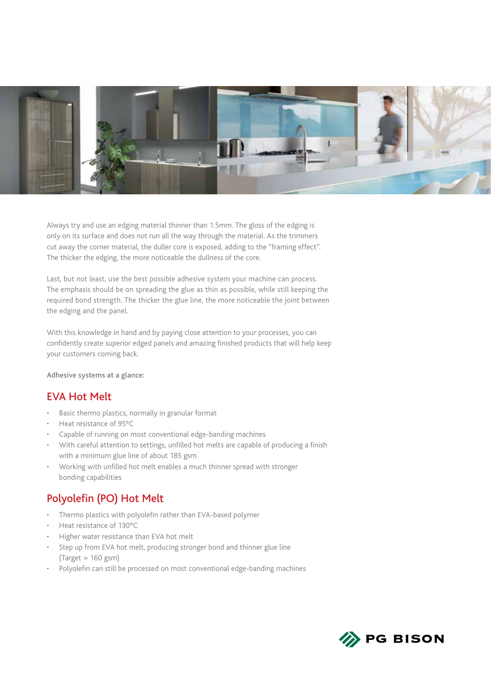

Always try and use an edging material thinner than 1.5mm. The gloss of the edging is only on its surface and does not run all the way through the material. As the trimmers cut away the corner material, the duller core is exposed, adding to the "framing effect". The thicker the edging, the more noticeable the dullness of the core.

Last, but not least, use the best possible adhesive system your machine can process. The emphasis should be on spreading the glue as thin as possible, while still keeping the required bond strength. The thicker the glue line, the more noticeable the joint between the edging and the panel.

With this knowledge in hand and by paying close attention to your processes, you can confidently create superior edged panels and amazing finished products that will help keep your customers coming back.

Adhesive systems at a glance:

## EVA Hot Melt

- Basic thermo plastics, normally in granular format
- Heat resistance of 95°C
- Capable of running on most conventional edge-banding machines
- With careful attention to settings, unfilled hot melts are capable of producing a finish with a minimum glue line of about 185 gsm
- Working with unfilled hot melt enables a much thinner spread with stronger bonding capabilities

# Polyolefin (PO) Hot Melt

- Thermo plastics with polyolefin rather than EVA-based polymer
- Heat resistance of 130°C
- Higher water resistance than EVA hot melt
- Step up from EVA hot melt, producing stronger bond and thinner glue line  $(Target = 160 gsm)$
- Polyolefin can still be processed on most conventional edge-banding machines